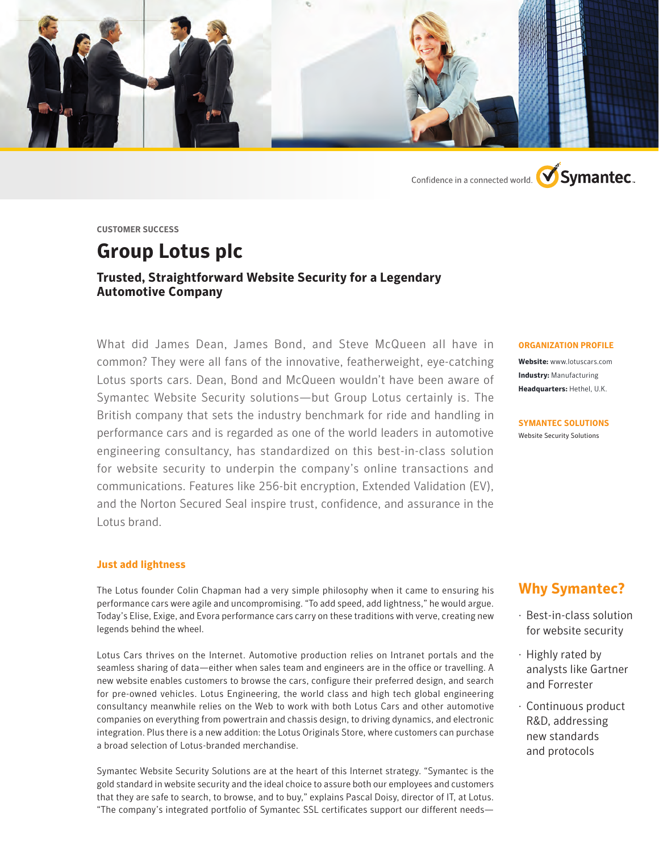

Confidence in a connected world. **V**Symantec.

**CUSTOMER SUCCESS**

# **Group Lotus plc**

### **Trusted, Straightforward Website Security for a Legendary Automotive Company**

What did James Dean, James Bond, and Steve McQueen all have in common? They were all fans of the innovative, featherweight, eye-catching Lotus sports cars. Dean, Bond and McQueen wouldn't have been aware of Symantec Website Security solutions—but Group Lotus certainly is. The British company that sets the industry benchmark for ride and handling in performance cars and is regarded as one of the world leaders in automotive engineering consultancy, has standardized on this best-in-class solution for website security to underpin the company's online transactions and communications. Features like 256-bit encryption, Extended Validation (EV), and the Norton Secured Seal inspire trust, confidence, and assurance in the Lotus brand.

#### **Just add lightness**

The Lotus founder Colin Chapman had a very simple philosophy when it came to ensuring his performance cars were agile and uncompromising. "To add speed, add lightness," he would argue. Today's Elise, Exige, and Evora performance cars carry on these traditions with verve, creating new legends behind the wheel.

Lotus Cars thrives on the Internet. Automotive production relies on Intranet portals and the seamless sharing of data—either when sales team and engineers are in the office or travelling. A new website enables customers to browse the cars, configure their preferred design, and search for pre-owned vehicles. Lotus Engineering, the world class and high tech global engineering consultancy meanwhile relies on the Web to work with both Lotus Cars and other automotive companies on everything from powertrain and chassis design, to driving dynamics, and electronic integration. Plus there is a new addition: the Lotus Originals Store, where customers can purchase a broad selection of Lotus-branded merchandise.

Symantec Website Security Solutions are at the heart of this Internet strategy. "Symantec is the gold standard in website security and the ideal choice to assure both our employees and customers that they are safe to search, to browse, and to buy," explains Pascal Doisy, director of IT, at Lotus. "The company's integrated portfolio of Symantec SSL certificates support our different needs—

#### **ORGANIZATION PROFILE**

**Website:** www.lotuscars.com **Industry:** Manufacturing **Headquarters:** Hethel, U.K.

**SYMANTEC SOLUTIONS**  Website Security Solutions

# **Why Symantec?**

- · Best-in-class solution for website security
- · Highly rated by analysts like Gartner and Forrester
- · Continuous product R&D, addressing new standards and protocols